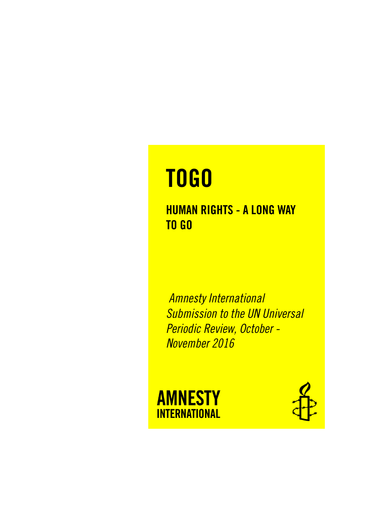# **TOGO**

# **HUMAN RIGHTS - A LONG WAY TO GO**

*Amnesty International Submission to the UN Universal Periodic Review, October - November 2016*



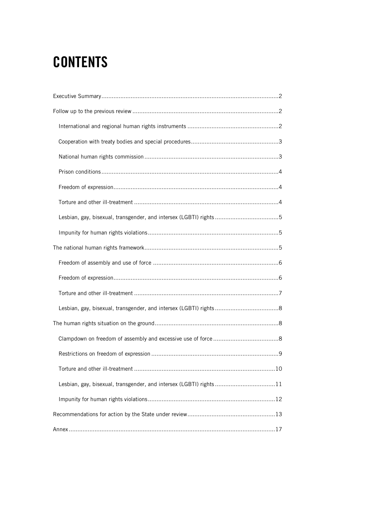# **CONTENTS**

| Lesbian, gay, bisexual, transgender, and intersex (LGBTI) rights 11 |
|---------------------------------------------------------------------|
|                                                                     |
|                                                                     |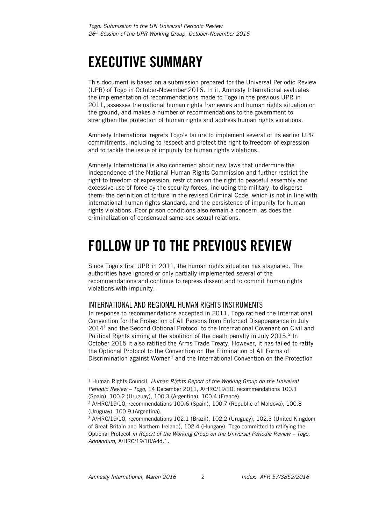# <span id="page-2-0"></span>**EXECUTIVE SUMMARY**

This document is based on a submission prepared for the Universal Periodic Review (UPR) of Togo in October-November 2016. In it, Amnesty International evaluates the implementation of recommendations made to Togo in the previous UPR in 2011, assesses the national human rights framework and human rights situation on the ground, and makes a number of recommendations to the government to strengthen the protection of human rights and address human rights violations.

Amnesty International regrets Togo's failure to implement several of its earlier UPR commitments, including to respect and protect the right to freedom of expression and to tackle the issue of impunity for human rights violations.

Amnesty International is also concerned about new laws that undermine the independence of the National Human Rights Commission and further restrict the right to freedom of expression; restrictions on the right to peaceful assembly and excessive use of force by the security forces, including the military, to disperse them; the definition of torture in the revised Criminal Code, which is not in line with international human rights standard, and the persistence of impunity for human rights violations. Poor prison conditions also remain a concern, as does the criminalization of consensual same-sex sexual relations.

# <span id="page-2-1"></span>**FOLLOW UP TO THE PREVIOUS REVIEW**

Since Togo's first UPR in 2011, the human rights situation has stagnated. The authorities have ignored or only partially implemented several of the recommendations and continue to repress dissent and to commit human rights violations with impunity.

### <span id="page-2-2"></span>INTERNATIONAL AND REGIONAL HUMAN RIGHTS INSTRUMENTS

In response to recommendations accepted in 2011, Togo ratified the International Convention for the Protection of All Persons from Enforced Disappearance in July 2014<sup>1</sup> and the Second Optional Protocol to the International Covenant on Civil and Political Rights aiming at the abolition of the death penalty in July 2015.<sup>2</sup> In October 2015 it also ratified the Arms Trade Treaty. However, it has failed to ratify the Optional Protocol to the Convention on the Elimination of All Forms of Discrimination against Women<sup>3</sup> and the International Convention on the Protection

<sup>1</sup> Human Rights Council, *Human Rights Report of the Working Group on the Universal Periodic Review – Togo,* 14 December 2011, A/HRC/19/10, recommendations 100.1 (Spain), 100.2 (Uruguay), 100.3 (Argentina), 100.4 (France).

<sup>2</sup> A/HRC/19/10, recommendations 100.6 (Spain), 100.7 (Republic of Moldova), 100.8 (Uruguay), 100.9 (Argentina).

<sup>3</sup> A/HRC/19/10, recommendations 102.1 (Brazil), 102.2 (Uruguay), 102.3 (United Kingdom of Great Britain and Northern Ireland), 102.4 (Hungary). Togo committed to ratifying the Optional Protocol *in Report of the Working Group on the Universal Periodic Review – Togo, Addendum,* A/HRC/19/10/Add.1.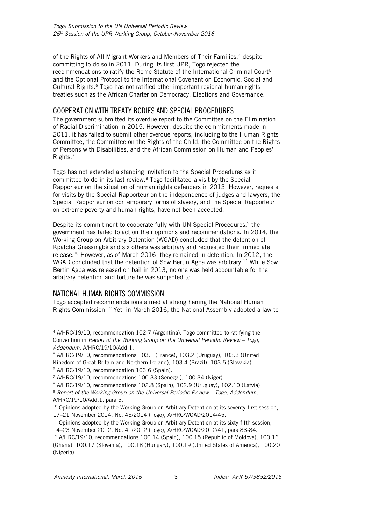of the Rights of All Migrant Workers and Members of Their Families,<sup>4</sup> despite committing to do so in 2011. During its first UPR, Togo rejected the recommendations to ratify the Rome Statute of the International Criminal Court<sup>5</sup> and the Optional Protocol to the International Covenant on Economic, Social and Cultural Rights.<sup>6</sup> Togo has not ratified other important regional human rights treaties such as the African Charter on Democracy, Elections and Governance.

# <span id="page-3-0"></span>COOPERATION WITH TREATY BODIES AND SPECIAL PROCEDURES

The government submitted its overdue report to the Committee on the Elimination of Racial Discrimination in 2015. However, despite the commitments made in 2011, it has failed to submit other overdue reports, including to the Human Rights Committee, the Committee on the Rights of the Child, the Committee on the Rights of Persons with Disabilities, and the African Commission on Human and Peoples' Rights.<sup>7</sup>

Togo has not extended a standing invitation to the Special Procedures as it committed to do in its last review.<sup>8</sup> Togo facilitated a visit by the Special Rapporteur on the situation of human rights defenders in 2013. However, requests for visits by the Special Rapporteur on the independence of judges and lawyers, the Special Rapporteur on contemporary forms of slavery, and the Special Rapporteur on extreme poverty and human rights, have not been accepted.

Despite its commitment to cooperate fully with UN Special Procedures,<sup>9</sup> the government has failed to act on their opinions and recommendations. In 2014, the Working Group on Arbitrary Detention (WGAD) concluded that the detention of Kpatcha Gnassingbé and six others was arbitrary and requested their immediate release.<sup>10</sup> However, as of March 2016, they remained in detention. In 2012, the WGAD concluded that the detention of Sow Bertin Agba was arbitrary.<sup>11</sup> While Sow Bertin Agba was released on bail in 2013, no one was held accountable for the arbitrary detention and torture he was subjected to.

### <span id="page-3-1"></span>NATIONAL HUMAN RIGHTS COMMISSION

-

Togo accepted recommendations aimed at strengthening the National Human Rights Commission.<sup>12</sup> Yet, in March 2016, the National Assembly adopted a law to

<sup>4</sup> A/HRC/19/10, recommendation 102.7 (Argentina). Togo committed to ratifying the Convention in *Report of the Working Group on the Universal Periodic Review - Togo, Addendum*, A/HRC/19/10/Add.1.

<sup>5</sup> A/HRC/19/10, recommendations 103.1 (France), 103.2 (Uruguay), 103.3 (United Kingdom of Great Britain and Northern Ireland), 103.4 (Brazil), 103.5 (Slovakia). <sup>6</sup> A/HRC/19/10, recommendation 103.6 (Spain).

<sup>7</sup> A/HRC/19/10, recommendations 100.33 (Senegal), 100.34 (Niger).

<sup>8</sup> A/HRC/19/10, recommendations 102.8 (Spain), 102.9 (Uruguay), 102.10 (Latvia).

<sup>&</sup>lt;sup>9</sup> Report of the Working Group on the Universal Periodic Review – Togo, Addendum, A/HRC/19/10/Add.1, para 5.

<sup>&</sup>lt;sup>10</sup> Opinions adopted by the Working Group on Arbitrary Detention at its seventy-first session, 17–21 November 2014, No. 45/2014 (Togo), A/HRC/WGAD/2014/45.

<sup>&</sup>lt;sup>11</sup> Opinions adopted by the Working Group on Arbitrary Detention at its sixty-fifth session,

<sup>14</sup>–23 November 2012, No. 41/2012 (Togo), A/HRC/WGAD/2012/41, para 83-84.

<sup>12</sup> A/HRC/19/10, recommendations 100.14 (Spain), 100.15 (Republic of Moldova), 100.16 (Ghana), 100.17 (Slovenia), 100.18 (Hungary), 100.19 (United States of America), 100.20 (Nigeria).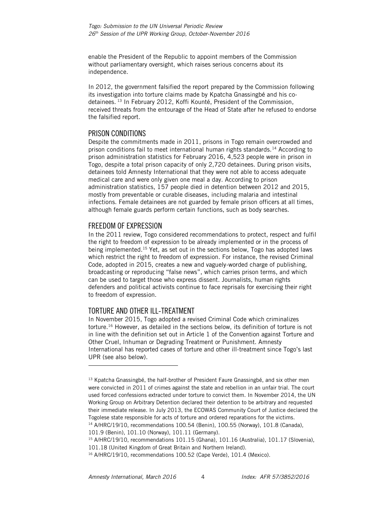enable the President of the Republic to appoint members of the Commission without parliamentary oversight, which raises serious concerns about its independence.

In 2012, the government falsified the report prepared by the Commission following its investigation into torture claims made by Kpatcha Gnassingbé and his codetainees. <sup>13</sup> In February 2012, Koffi Kounté, President of the Commission, received threats from the entourage of the Head of State after he refused to endorse the falsified report.

### <span id="page-4-0"></span>PRISON CONDITIONS

Despite the commitments made in 2011, prisons in Togo remain overcrowded and prison conditions fail to meet international human rights standards.<sup>14</sup> According to prison administration statistics for February 2016, 4,523 people were in prison in Togo, despite a total prison capacity of only 2,720 detainees. During prison visits, detainees told Amnesty International that they were not able to access adequate medical care and were only given one meal a day. According to prison administration statistics, 157 people died in detention between 2012 and 2015, mostly from preventable or curable diseases, including malaria and intestinal infections. Female detainees are not guarded by female prison officers at all times, although female guards perform certain functions, such as body searches.

### <span id="page-4-1"></span>FREEDOM OF EXPRESSION

In the 2011 review, Togo considered recommendations to protect, respect and fulfil the right to freedom of expression to be already implemented or in the process of being implemented. <sup>15</sup> Yet, as set out in the sections below, Togo has adopted laws which restrict the right to freedom of expression. For instance, the revised Criminal Code, adopted in 2015, creates a new and vaguely-worded charge of publishing, broadcasting or reproducing "false news", which carries prison terms, and which can be used to target those who express dissent. Journalists, human rights defenders and political activists continue to face reprisals for exercising their right to freedom of expression.

# <span id="page-4-2"></span>TORTURE AND OTHER ILL-TREATMENT

j

In November 2015, Togo adopted a revised Criminal Code which criminalizes torture.<sup>16</sup> However, as detailed in the sections below, its definition of torture is not in line with the definition set out in Article 1 of the Convention against Torture and Other Cruel, Inhuman or Degrading Treatment or Punishment. Amnesty International has reported cases of torture and other ill-treatment since Togo's last UPR (see also below).

<sup>&</sup>lt;sup>13</sup> Kpatcha Gnassingbé, the half-brother of President Faure Gnassingbé, and six other men were convicted in 2011 of crimes against the state and rebellion in an unfair trial. The court used forced confessions extracted under torture to convict them. In November 2014, the UN Working Group on Arbitrary Detention declared their detention to be arbitrary and requested their immediate release. In July 2013, the ECOWAS Community Court of Justice declared the Togolese state responsible for acts of torture and ordered reparations for the victims. <sup>14</sup> A/HRC/19/10, recommendations 100.54 (Benin), 100.55 (Norway), 101.8 (Canada),

<sup>101.9 (</sup>Benin), 101.10 (Norway), 101.11 (Germany).

<sup>15</sup> A/HRC/19/10, recommendations 101.15 (Ghana), 101.16 (Australia), 101.17 (Slovenia), 101.18 (United Kingdom of Great Britain and Northern Ireland).

<sup>&</sup>lt;sup>16</sup> A/HRC/19/10, recommendations 100.52 (Cape Verde), 101.4 (Mexico).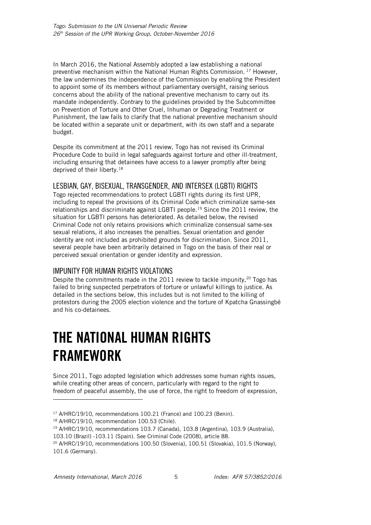In March 2016, the National Assembly adopted a law establishing a national preventive mechanism within the National Human Rights Commission. <sup>17</sup> However, the law undermines the independence of the Commission by enabling the President to appoint some of its members without parliamentary oversight, raising serious concerns about the ability of the national preventive mechanism to carry out its mandate independently. Contrary to the guidelines provided by the Subcommittee on Prevention of Torture and Other Cruel, Inhuman or Degrading Treatment or Punishment, the law fails to clarify that the national preventive mechanism should be located within a separate unit or department, with its own staff and a separate budget.

Despite its commitment at the 2011 review, Togo has not revised its Criminal Procedure Code to build in legal safeguards against torture and other ill-treatment, including ensuring that detainees have access to a lawyer promptly after being deprived of their liberty.<sup>18</sup>

# <span id="page-5-0"></span>LESBIAN, GAY, BISEXUAL, TRANSGENDER, AND INTERSEX (LGBTI) RIGHTS

Togo rejected recommendations to protect LGBTI rights during its first UPR, including to repeal the provisions of its Criminal Code which criminalize same-sex relationships and discriminate against LGBTI people.<sup>19</sup> Since the 2011 review, the situation for LGBTI persons has deteriorated. As detailed below, the revised Criminal Code not only retains provisions which criminalize consensual same-sex sexual relations, it also increases the penalties. Sexual orientation and gender identity are not included as prohibited grounds for discrimination. Since 2011, several people have been arbitrarily detained in Togo on the basis of their real or perceived sexual orientation or gender identity and expression.

### <span id="page-5-1"></span>IMPUNITY FOR HUMAN RIGHTS VIOLATIONS

Despite the commitments made in the 2011 review to tackle impunity, $20$  Togo has failed to bring suspected perpetrators of torture or unlawful killings to justice. As detailed in the sections below, this includes but is not limited to the killing of protestors during the 2005 election violence and the torture of Kpatcha Gnassingbé and his co-detainees.

# <span id="page-5-2"></span>**THE NATIONAL HUMAN RIGHTS FRAMEWORK**

Since 2011, Togo adopted legislation which addresses some human rights issues, while creating other areas of concern, particularly with regard to the right to freedom of peaceful assembly, the use of force, the right to freedom of expression,

-

<sup>&</sup>lt;sup>17</sup> A/HRC/19/10, recommendations 100.21 (France) and 100.23 (Benin).

<sup>18</sup> A/HRC/19/10, recommendation 100.53 (Chile).

<sup>19</sup> A/HRC/19/10, recommendations 103.7 (Canada), 103.8 (Argentina), 103.9 (Australia),

<sup>103.10 (</sup>Brazil) -103.11 (Spain). See Criminal Code (2008), article 88.

<sup>20</sup> A/HRC/19/10, recommendations 100.50 (Slovenia), 100.51 (Slovakia), 101.5 (Norway), 101.6 (Germany).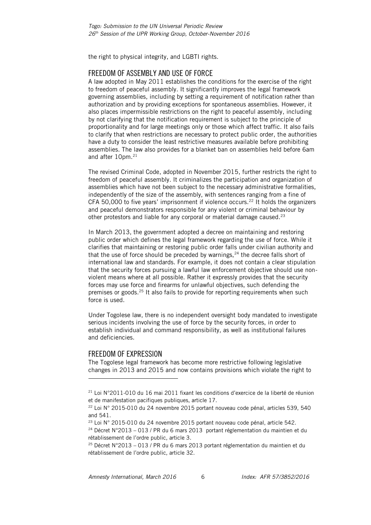the right to physical integrity, and LGBTI rights.

### <span id="page-6-0"></span>FREEDOM OF ASSEMBLY AND USE OF FORCE

A law adopted in May 2011 establishes the conditions for the exercise of the right to freedom of peaceful assembly. It significantly improves the legal framework governing assemblies, including by setting a requirement of notification rather than authorization and by providing exceptions for spontaneous assemblies. However, it also places impermissible restrictions on the right to peaceful assembly, including by not clarifying that the notification requirement is subject to the principle of proportionality and for large meetings only or those which affect traffic. It also fails to clarify that when restrictions are necessary to protect public order, the authorities have a duty to consider the least restrictive measures available before prohibiting assemblies. The law also provides for a blanket ban on assemblies held before 6am and after 10pm.<sup>21</sup>

The revised Criminal Code, adopted in November 2015, further restricts the right to freedom of peaceful assembly. It criminalizes the participation and organization of assemblies which have not been subject to the necessary administrative formalities, independently of the size of the assembly, with sentences ranging from a fine of CFA 50,000 to five years' imprisonment if violence occurs.<sup>22</sup> It holds the organizers and peaceful demonstrators responsible for any violent or criminal behaviour by other protestors and liable for any corporal or material damage caused.<sup>23</sup>

In March 2013, the government adopted a decree on maintaining and restoring public order which defines the legal framework regarding the use of force. While it clarifies that maintaining or restoring public order falls under civilian authority and that the use of force should be preceded by warnings, $24$  the decree falls short of international law and standards. For example, it does not contain a clear stipulation that the security forces pursuing a lawful law enforcement objective should use nonviolent means where at all possible. Rather it expressly provides that the security forces may use force and firearms for unlawful objectives, such defending the premises or goods.<sup>25</sup> It also fails to provide for reporting requirements when such force is used.

Under Togolese law, there is no independent oversight body mandated to investigate serious incidents involving the use of force by the security forces, in order to establish individual and command responsibility, as well as institutional failures and deficiencies.

### <span id="page-6-1"></span>FREEDOM OF EXPRESSION

l

The Togolese legal framework has become more restrictive following legislative changes in 2013 and 2015 and now contains provisions which violate the right to

 $21$  Loi N°2011-010 du 16 mai 2011 fixant les conditions d'exercice de la liberté de réunion et de manifestation pacifiques publiques, article 17.

<sup>22</sup> Loi N° 2015-010 du 24 novembre 2015 portant nouveau code pénal, articles 539, 540 and 541.

<sup>&</sup>lt;sup>23</sup> Loi N° 2015-010 du 24 novembre 2015 portant nouveau code pénal, article 542.

<sup>24</sup> Décret N°2013 – 013 / PR du 6 mars 2013 portant réglementation du maintien et du rétablissement de l'ordre public, article 3.

<sup>25</sup> Décret N°2013 – 013 / PR du 6 mars 2013 portant réglementation du maintien et du rétablissement de l'ordre public, article 32.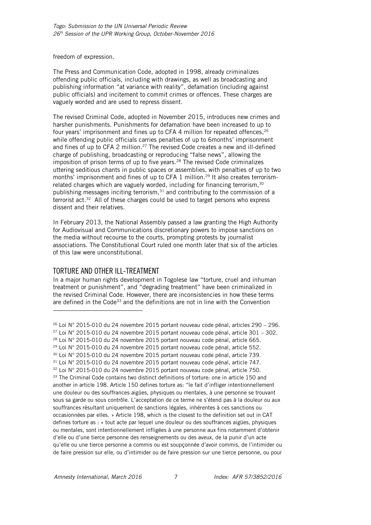freedom of expression.

The Press and Communication Code, adopted in 1998, already criminalizes offending public officials, including with drawings, as well as broadcasting and publishing information "at variance with reality", defamation (including against public officials) and incitement to commit crimes or offences. These charges are vaguely worded and are used to repress dissent.

The revised Criminal Code, adopted in November 2015, introduces new crimes and harsher punishments. Punishments for defamation have been increased to up to four years' imprisonment and fines up to CFA 4 million for repeated offences,<sup>26</sup> while offending public officials carries penalties of up to 6months' imprisonment and fines of up to CFA 2 million.<sup>27</sup> The revised Code creates a new and ill-defined charge of publishing, broadcasting or reproducing "false news", allowing the imposition of prison terms of up to five years. <sup>28</sup> The revised Code criminalizes uttering seditious chants in public spaces or assemblies, with penalties of up to two months' imprisonment and fines of up to CFA 1 million.<sup>29</sup> It also creates terrorismrelated charges which are vaguely worded, including for financing terrorism,<sup>30</sup> publishing messages inciting terrorism, $31$  and contributing to the commission of a terrorist act. <sup>32</sup> All of these charges could be used to target persons who express dissent and their relatives.

In February 2013, the National Assembly passed a law granting the High Authority for Audiovisual and Communications discretionary powers to impose sanctions on the media without recourse to the courts, prompting protests by journalist associations. The Constitutional Court ruled one month later that six of the articles of this law were unconstitutional.

### <span id="page-7-0"></span>TORTURE AND OTHER ILL-TREATMENT

-

In a major human rights development in Togolese law "torture, cruel and inhuman treatment or punishment", and "degrading treatment" have been criminalized in the revised Criminal Code. However, there are inconsistencies in how these terms are defined in the Code<sup>33</sup> and the definitions are not in line with the Convention

 $26$  Loi N° 2015-010 du 24 novembre 2015 portant nouveau code pénal, articles 290 – 296.  $27$  Loi N° 2015-010 du 24 novembre 2015 portant nouveau code pénal, article 301 – 302. <sup>28</sup> Loi N° 2015-010 du 24 novembre 2015 portant nouveau code pénal, article 665. <sup>29</sup> Loi N° 2015-010 du 24 novembre 2015 portant nouveau code pénal, article 552. <sup>30</sup> Loi N° 2015-010 du 24 novembre 2015 portant nouveau code pénal, article 739. <sup>31</sup> Loi N° 2015-010 du 24 novembre 2015 portant nouveau code pénal, article 747. <sup>32</sup> Loi N° 2015-010 du 24 novembre 2015 portant nouveau code pénal, article 750. 33 The Criminal Code contains two distinct definitions of torture: one in article 150 and another in article 198. Article 150 defines torture as: "le fait d'infliger intentionnellement une douleur ou des souffrances aigües, physiques ou mentales, à une personne se trouvant sous sa garde ou sous contrôle. L'acceptation de ce terme ne s'étend pas à la douleur ou aux souffrances résultant uniquement de sanctions légales, inhérentes à ces sanctions ou occasionnées par elles. » Article 198, which is the closest to the definition set out in CAT defines torture as : « tout acte par lequel une douleur ou des souffrances aigües, physiques ou mentales, sont intentionnellement infligées à une personne aux fins notamment d'obtenir d'elle ou d'une tierce personne des renseignements ou des aveux, de la punir d'un acte qu'elle ou une tierce personne a commis ou est soupçonnée d'avoir commis, de l'intimider ou de faire pression sur elle, ou d'intimider ou de faire pression sur une tierce personne, ou pour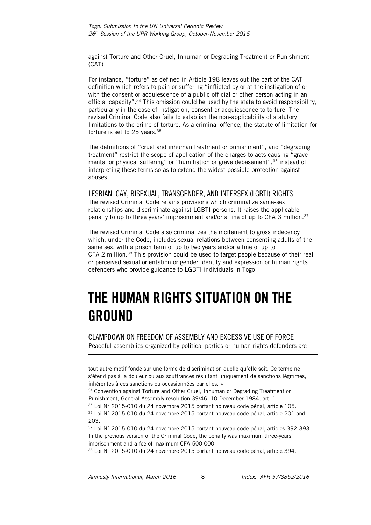against Torture and Other Cruel, Inhuman or Degrading Treatment or Punishment (CAT).

For instance, "torture" as defined in Article 198 leaves out the part of the CAT definition which refers to pain or suffering "inflicted by or at the instigation of or with the consent or acquiescence of a public official or other person acting in an official capacity". <sup>34</sup> This omission could be used by the state to avoid responsibility, particularly in the case of instigation, consent or acquiescence to torture. The revised Criminal Code also fails to establish the non-applicability of statutory limitations to the crime of torture. As a criminal offence, the statute of limitation for torture is set to 25 years.<sup>35</sup>

The definitions of "cruel and inhuman treatment or punishment", and "degrading treatment" restrict the scope of application of the charges to acts causing "grave mental or physical suffering" or "humiliation or grave debasement",<sup>36</sup> instead of interpreting these terms so as to extend the widest possible protection against abuses.

### <span id="page-8-0"></span>LESBIAN, GAY, BISEXUAL, TRANSGENDER, AND INTERSEX (LGBTI) RIGHTS

The revised Criminal Code retains provisions which criminalize same-sex relationships and discriminate against LGBTI persons. It raises the applicable penalty to up to three years' imprisonment and/or a fine of up to CFA 3 million.<sup>37</sup>

The revised Criminal Code also criminalizes the incitement to gross indecency which, under the Code, includes sexual relations between consenting adults of the same sex, with a prison term of up to two years and/or a fine of up to CFA 2 million.<sup>38</sup> This provision could be used to target people because of their real or perceived sexual orientation or gender identity and expression or human rights defenders who provide guidance to LGBTI individuals in Togo.

# <span id="page-8-1"></span>**THE HUMAN RIGHTS SITUATION ON THE GROUND**

<span id="page-8-2"></span>CLAMPDOWN ON FREEDOM OF ASSEMBLY AND EXCESSIVE USE OF FORCE Peaceful assemblies organized by political parties or human rights defenders are

tout autre motif fondé sur une forme de discrimination quelle qu'elle soit. Ce terme ne s'étend pas à la douleur ou aux souffrances résultant uniquement de sanctions légitimes, inhérentes à ces sanctions ou occasionnées par elles. »

<sup>34</sup> Convention against Torture and Other Cruel, Inhuman or Degrading Treatment or Punishment, General Assembly resolution 39/46, 10 December 1984, art. 1.

<sup>35</sup> Loi N° 2015-010 du 24 novembre 2015 portant nouveau code pénal, article 105.

<sup>36</sup> Loi N° 2015-010 du 24 novembre 2015 portant nouveau code pénal, article 201 and 203.

<sup>37</sup> Loi N° 2015-010 du 24 novembre 2015 portant nouveau code pénal, articles 392-393. In the previous version of the Criminal Code, the penalty was maximum three-years' imprisonment and a fee of maximum CFA 500 000.

<sup>38</sup> Loi N° 2015-010 du 24 novembre 2015 portant nouveau code pénal, article 394.

*Amnesty International, March 2016* 8 *Index: AFR 57/3852/2016*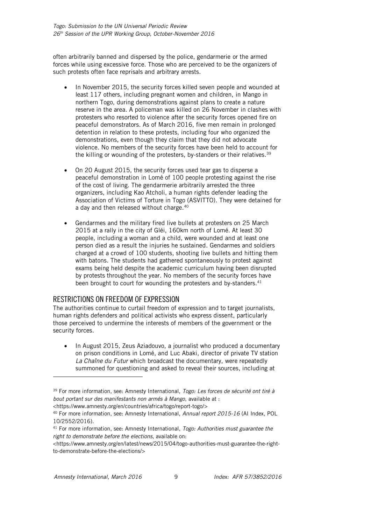often arbitrarily banned and dispersed by the police, gendarmerie or the armed forces while using excessive force. Those who are perceived to be the organizers of such protests often face reprisals and arbitrary arrests.

- In November 2015, the security forces killed seven people and wounded at least 117 others, including pregnant women and children, in Mango in northern Togo, during demonstrations against plans to create a nature reserve in the area. A policeman was killed on 26 November in clashes with protesters who resorted to violence after the security forces opened fire on peaceful demonstrators. As of March 2016, five men remain in prolonged detention in relation to these protests, including four who organized the demonstrations, even though they claim that they did not advocate violence. No members of the security forces have been held to account for the killing or wounding of the protesters, by-standers or their relatives.<sup>39</sup>
- On 20 August 2015, the security forces used tear gas to disperse a peaceful demonstration in Lomé of 100 people protesting against the rise of the cost of living. The gendarmerie arbitrarily arrested the three organizers, including Kao Atcholi, a human rights defender leading the Association of Victims of Torture in Togo (ASVITTO). They were detained for a day and then released without charge.<sup>40</sup>
- Gendarmes and the military fired live bullets at protesters on 25 March 2015 at a rally in the city of Gléi, 160km north of Lomé. At least 30 people, including a woman and a child, were wounded and at least one person died as a result the injuries he sustained. Gendarmes and soldiers charged at a crowd of 100 students, shooting live bullets and hitting them with batons. The students had gathered spontaneously to protest against exams being held despite the academic curriculum having been disrupted by protests throughout the year. No members of the security forces have been brought to court for wounding the protesters and by-standers.<sup>41</sup>

### <span id="page-9-0"></span>RESTRICTIONS ON FREEDOM OF EXPRESSION

The authorities continue to curtail freedom of expression and to target journalists, human rights defenders and political activists who express dissent, particularly those perceived to undermine the interests of members of the government or the security forces.

• In August 2015, Zeus Aziadouvo, a journalist who produced a documentary on prison conditions in Lomé, and Luc Abaki, director of private TV station *La Chaîne du Futur* which broadcast the documentary, were repeatedly summoned for questioning and asked to reveal their sources, including at

-

<sup>39</sup> For more information, see: Amnesty International, *Togo: Les forces de sécurité ont tiré à bout portant sur des manifestants non armés à Mango*, available at :

<sup>&</sup>lt;https://www.amnesty.org/en/countries/africa/togo/report-togo/>

<sup>40</sup> For more information, see: Amnesty International, *Annual report 2015-16* (AI Index, POL 10/2552/2016).

<sup>41</sup> For more information, see: Amnesty International, *Togo: Authorities must guarantee the right to demonstrate before the elections*, available on:

<sup>&</sup>lt;https://www.amnesty.org/en/latest/news/2015/04/togo-authorities-must-guarantee-the-rightto-demonstrate-before-the-elections/>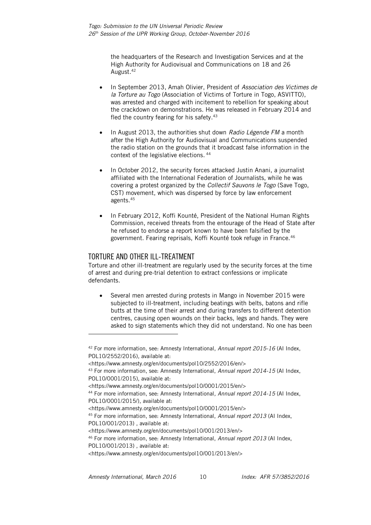the headquarters of the Research and Investigation Services and at the High Authority for Audiovisual and Communications on 18 and 26 August. 42

- In September 2013, Amah Olivier, President of *Association des Victimes de la Torture au Togo* (Association of Victims of Torture in Togo, ASVITTO), was arrested and charged with incitement to rebellion for speaking about the crackdown on demonstrations. He was released in February 2014 and fled the country fearing for his safety. 43
- In August 2013, the authorities shut down *Radio Légende FM* a month after the High Authority for Audiovisual and Communications suspended the radio station on the grounds that it broadcast false information in the context of the legislative elections. 44
- In October 2012, the security forces attacked Justin Anani, a journalist affiliated with the International Federation of Journalists, while he was covering a protest organized by the *Collectif Sauvons le Togo* (Save Togo, CST) movement, which was dispersed by force by law enforcement agents.<sup>45</sup>
- In February 2012, Koffi Kounté, President of the National Human Rights Commission, received threats from the entourage of the Head of State after he refused to endorse a report known to have been falsified by the government. Fearing reprisals, Koffi Kounté took refuge in France.<sup>46</sup>

# <span id="page-10-0"></span>TORTURE AND OTHER ILL-TREATMENT

Torture and other ill-treatment are regularly used by the security forces at the time of arrest and during pre-trial detention to extract confessions or implicate defendants.

 Several men arrested during protests in Mango in November 2015 were subjected to ill-treatment, including beatings with belts, batons and rifle butts at the time of their arrest and during transfers to different detention centres, causing open wounds on their backs, legs and hands. They were asked to sign statements which they did not understand. No one has been

<sup>42</sup> For more information, see: Amnesty International, *Annual report 2015-16* (AI Index, POL10/2552/2016), available at:

<sup>&</sup>lt;https://www.amnesty.org/en/documents/pol10/2552/2016/en/>

<sup>43</sup> For more information, see: Amnesty International, *Annual report 2014-15* (AI Index, POL10/0001/2015), available at:

<sup>&</sup>lt;https://www.amnesty.org/en/documents/pol10/0001/2015/en/>

<sup>44</sup> For more information, see: Amnesty International*, Annual report 2014-15* (AI Index, POL10/0001/2015/), available at:

<sup>&</sup>lt;https://www.amnesty.org/en/documents/pol10/0001/2015/en/>

<sup>45</sup> For more information, see: Amnesty International, *Annual report 2013* (AI Index, POL10/001/2013) , available at:

<sup>&</sup>lt;https://www.amnesty.org/en/documents/pol10/001/2013/en/>

<sup>46</sup> For more information, see: Amnesty International, *Annual report 2013* (AI Index,

POL10/001/2013) , available at:

<sup>&</sup>lt;https://www.amnesty.org/en/documents/pol10/001/2013/en/>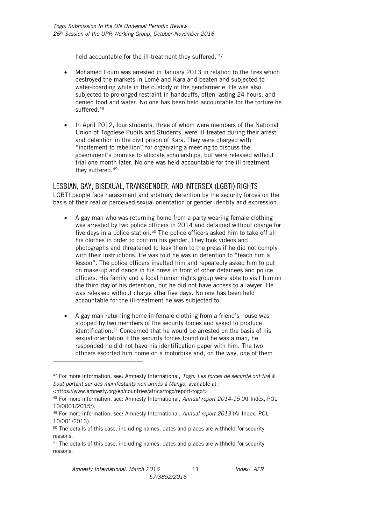held accountable for the ill-treatment they suffered. <sup>47</sup>

- Mohamed Loum was arrested in January 2013 in relation to the fires which destroyed the markets in Lomé and Kara and beaten and subjected to water-boarding while in the custody of the gendarmerie. He was also subjected to prolonged restraint in handcuffs, often lasting 24 hours, and denied food and water. No one has been held accountable for the torture he suffered. 48
- In April 2012, four students, three of whom were members of the National Union of Togolese Pupils and Students, were ill-treated during their arrest and detention in the civil prison of Kara. They were charged with "incitement to rebellion" for organizing a meeting to discuss the government's promise to allocate scholarships, but were released without trial one month later. No one was held accountable for the ill-treatment they suffered.<sup>49</sup>

### <span id="page-11-0"></span>LESBIAN, GAY, BISEXUAL, TRANSGENDER, AND INTERSEX (LGBTI) RIGHTS

LGBTI people face harassment and arbitrary detention by the security forces on the basis of their real or perceived sexual orientation or gender identity and expression.

- A gay man who was returning home from a party wearing female clothing was arrested by two police officers in 2014 and detained without charge for five days in a police station.<sup>50</sup> The police officers asked him to take off all his clothes in order to confirm his gender. They took videos and photographs and threatened to leak them to the press if he did not comply with their instructions. He was told he was in detention to "teach him a lesson". The police officers insulted him and repeatedly asked him to put on make-up and dance in his dress in front of other detainees and police officers. His family and a local human rights group were able to visit him on the third day of his detention, but he did not have access to a lawyer. He was released without charge after five days. No one has been held accountable for the ill-treatment he was subjected to.
- A gay man returning home in female clothing from a friend's house was stopped by two members of the security forces and asked to produce identification.<sup>51</sup> Concerned that he would be arrested on the basis of his sexual orientation if the security forces found out he was a man, he responded he did not have his identification paper with him. The two officers escorted him home on a motorbike and, on the way, one of them

-

<sup>47</sup> For more information, see: Amnesty International, *Togo: Les forces de sécurité ont tiré à bout portant sur des manifestants non armés à Mango*, available at : <https://www.amnesty.org/en/countries/africa/togo/report-togo/>

<sup>48</sup> For more information, see: Amnesty International, *Annual report 2014-15* (AI Index, POL 10/0001/2015/).

<sup>49</sup> For more information, see: Amnesty International*, Annual report 2013* (AI Index, POL 10/001/2013).

 $50$  The details of this case, including names, dates and places are withheld for security reasons.

 $51$  The details of this case, including names, dates and places are withheld for security reasons.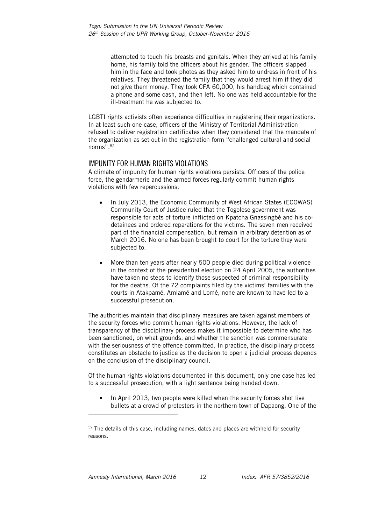attempted to touch his breasts and genitals. When they arrived at his family home, his family told the officers about his gender. The officers slapped him in the face and took photos as they asked him to undress in front of his relatives. They threatened the family that they would arrest him if they did not give them money. They took CFA 60,000, his handbag which contained a phone and some cash, and then left. No one was held accountable for the ill-treatment he was subjected to.

LGBTI rights activists often experience difficulties in registering their organizations. In at least such one case, officers of the Ministry of Territorial Administration refused to deliver registration certificates when they considered that the mandate of the organization as set out in the registration form "challenged cultural and social norms".<sup>52</sup>

### <span id="page-12-0"></span>IMPUNITY FOR HUMAN RIGHTS VIOLATIONS

A climate of impunity for human rights violations persists. Officers of the police force, the gendarmerie and the armed forces regularly commit human rights violations with few repercussions.

- In July 2013, the Economic Community of West African States (ECOWAS) Community Court of Justice ruled that the Togolese government was responsible for acts of torture inflicted on Kpatcha Gnassingbé and his codetainees and ordered reparations for the victims. The seven men received part of the financial compensation, but remain in arbitrary detention as of March 2016. No one has been brought to court for the torture they were subjected to.
- More than ten years after nearly 500 people died during political violence in the context of the presidential election on 24 April 2005, the authorities have taken no steps to identify those suspected of criminal responsibility for the deaths. Of the 72 complaints filed by the victims' families with the courts in Atakpamé, Amlamé and Lomé, none are known to have led to a successful prosecution.

The authorities maintain that disciplinary measures are taken against members of the security forces who commit human rights violations. However, the lack of transparency of the disciplinary process makes it impossible to determine who has been sanctioned, on what grounds, and whether the sanction was commensurate with the seriousness of the offence committed. In practice, the disciplinary process constitutes an obstacle to justice as the decision to open a judicial process depends on the conclusion of the disciplinary council.

Of the human rights violations documented in this document, only one case has led to a successful prosecution, with a light sentence being handed down.

 In April 2013, two people were killed when the security forces shot live bullets at a crowd of protesters in the northern town of Dapaong. One of the

 $52$  The details of this case, including names, dates and places are withheld for security reasons.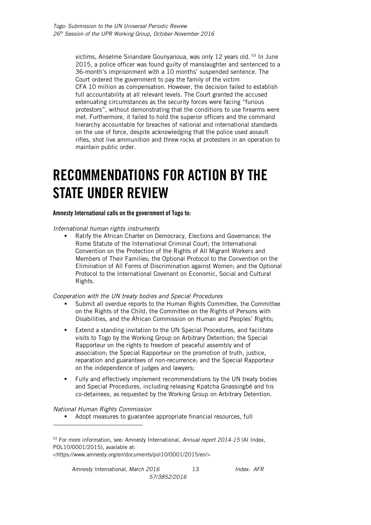victims, Anselme Sinandare Gounyanoua, was only 12 years old. <sup>53</sup> In June 2015, a police officer was found guilty of manslaughter and sentenced to a 36-month's imprisonment with a 10 months' suspended sentence. The Court ordered the government to pay the family of the victim CFA 10 million as compensation. However, the decision failed to establish full accountability at all relevant levels. The Court granted the accused extenuating circumstances as the security forces were facing "furious protestors", without demonstrating that the conditions to use firearms were met. Furthermore, it failed to hold the superior officers and the command hierarchy accountable for breaches of national and international standards on the use of force, despite acknowledging that the police used assault rifles, shot live ammunition and threw rocks at protesters in an operation to maintain public order.

# <span id="page-13-0"></span>**RECOMMENDATIONS FOR ACTION BY THE STATE UNDER REVIEW**

#### **Amnesty International calls on the government of Togo to:**

*International human rights instruments*

 Ratify the African Charter on Democracy, Elections and Governance; the Rome Statute of the International Criminal Court; the International Convention on the Protection of the Rights of All Migrant Workers and Members of Their Families; the Optional Protocol to the Convention on the Elimination of All Forms of Discrimination against Women; and the Optional Protocol to the International Covenant on Economic, Social and Cultural Rights.

*Cooperation with the UN treaty bodies and Special Procedures*

- Submit all overdue reports to the Human Rights Committee, the Committee on the Rights of the Child, the Committee on the Rights of Persons with Disabilities, and the African Commission on Human and Peoples' Rights;
- Extend a standing invitation to the UN Special Procedures, and facilitate visits to Togo by the Working Group on Arbitrary Detention; the Special Rapporteur on the rights to freedom of peaceful assembly and of association; the Special Rapporteur on the promotion of truth, justice, reparation and guarantees of non-recurrence; and the Special Rapporteur on the independence of judges and lawyers;
- **Fully and effectively implement recommendations by the UN treaty bodies** and Special Procedures, including releasing Kpatcha Gnassingbé and his co-detainees, as requested by the Working Group on Arbitrary Detention.

*National Human Rights Commission* 

-

Adopt measures to guarantee appropriate financial resources, full

<https://www.amnesty.org/en/documents/pol10/0001/2015/en/>

<sup>53</sup> For more information, see: Amnesty International, *Annual report 2014-15* (AI Index, POL10/0001/2015), available at: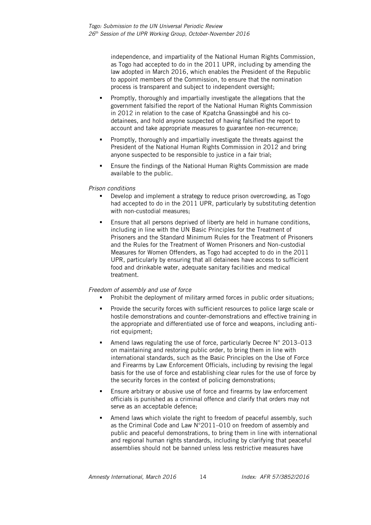independence, and impartiality of the National Human Rights Commission, as Togo had accepted to do in the 2011 UPR, including by amending the law adopted in March 2016, which enables the President of the Republic to appoint members of the Commission, to ensure that the nomination process is transparent and subject to independent oversight;

- Promptly, thoroughly and impartially investigate the allegations that the government falsified the report of the National Human Rights Commission in 2012 in relation to the case of Kpatcha Gnassingbé and his codetainees, and hold anyone suspected of having falsified the report to account and take appropriate measures to guarantee non-recurrence;
- Promptly, thoroughly and impartially investigate the threats against the President of the National Human Rights Commission in 2012 and bring anyone suspected to be responsible to justice in a fair trial;
- Ensure the findings of the National Human Rights Commission are made available to the public.

#### *Prison conditions*

- Develop and implement a strategy to reduce prison overcrowding, as Togo had accepted to do in the 2011 UPR, particularly by substituting detention with non-custodial measures;
- **Ensure that all persons deprived of liberty are held in humane conditions,** including in line with the UN Basic Principles for the Treatment of Prisoners and the Standard Minimum Rules for the Treatment of Prisoners and the Rules for the Treatment of Women Prisoners and Non-custodial Measures for Women Offenders, as Togo had accepted to do in the 2011 UPR, particularly by ensuring that all detainees have access to sufficient food and drinkable water, adequate sanitary facilities and medical treatment.

#### *Freedom of assembly and use of force*

- Prohibit the deployment of military armed forces in public order situations;
- **Provide the security forces with sufficient resources to police large scale or** hostile demonstrations and counter-demonstrations and effective training in the appropriate and differentiated use of force and weapons, including antiriot equipment;
- Amend laws regulating the use of force, particularly Decree N° 2013–013 on maintaining and restoring public order, to bring them in line with international standards, such as the Basic Principles on the Use of Force and Firearms by Law Enforcement Officials, including by revising the legal basis for the use of force and establishing clear rules for the use of force by the security forces in the context of policing demonstrations;
- Ensure arbitrary or abusive use of force and firearms by law enforcement officials is punished as a criminal offence and clarify that orders may not serve as an acceptable defence;
- Amend laws which violate the right to freedom of peaceful assembly, such as the Criminal Code and Law N°2011–010 on freedom of assembly and public and peaceful demonstrations, to bring them in line with international and regional human rights standards, including by clarifying that peaceful assemblies should not be banned unless less restrictive measures have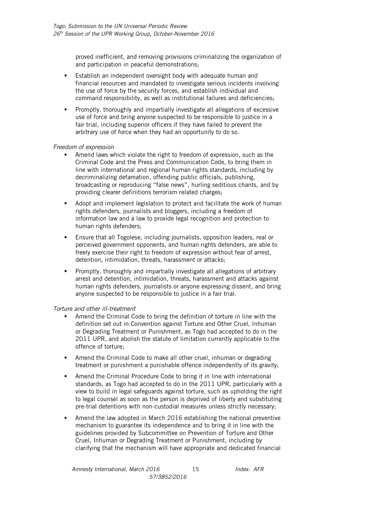proved inefficient, and removing provisions criminalizing the organization of and participation in peaceful demonstrations;

- Establish an independent oversight body with adequate human and financial resources and mandated to investigate serious incidents involving the use of force by the security forces, and establish individual and command responsibility, as well as institutional failures and deficiencies;
- Promptly, thoroughly and impartially investigate all allegations of excessive use of force and bring anyone suspected to be responsible to justice in a fair trial, including superior officers if they have failed to prevent the arbitrary use of force when they had an opportunity to do so.

#### *Freedom of expression*

- Amend laws which violate the right to freedom of expression, such as the Criminal Code and the Press and Communication Code, to bring them in line with international and regional human rights standards, including by decriminalizing defamation, offending public officials, publishing, broadcasting or reproducing "false news", hurling seditious chants, and by providing clearer definitions terrorism related charges;
- Adopt and implement legislation to protect and facilitate the work of human rights defenders, journalists and bloggers, including a freedom of information law and a law to provide legal recognition and protection to human rights defenders;
- Ensure that all Togolese, including journalists, opposition leaders, real or perceived government opponents, and human rights defenders, are able to freely exercise their right to freedom of expression without fear of arrest, detention, intimidation, threats, harassment or attacks;
- Promptly, thoroughly and impartially investigate all allegations of arbitrary arrest and detention, intimidation, threats, harassment and attacks against human rights defenders, journalists or anyone expressing dissent, and bring anyone suspected to be responsible to justice in a fair trial.

#### *Torture and other ill-treatment*

- Amend the Criminal Code to bring the definition of torture in line with the definition set out in Convention against Torture and Other Cruel, Inhuman or Degrading Treatment or Punishment, as Togo had accepted to do in the 2011 UPR, and abolish the statute of limitation currently applicable to the offence of torture;
- Amend the Criminal Code to make all other cruel, inhuman or degrading treatment or punishment a punishable offence independently of its gravity;
- Amend the Criminal Procedure Code to bring it in line with international standards, as Togo had accepted to do in the 2011 UPR, particularly with a view to build in legal safeguards against torture, such as upholding the right to legal counsel as soon as the person is deprived of liberty and substituting pre-trial detentions with non-custodial measures unless strictly necessary;
- Amend the law adopted in March 2016 establishing the national preventive mechanism to guarantee its independence and to bring it in line with the guidelines provided by Subcommittee on Prevention of Torture and Other Cruel, Inhuman or Degrading Treatment or Punishment, including by clarifying that the mechanism will have appropriate and dedicated financial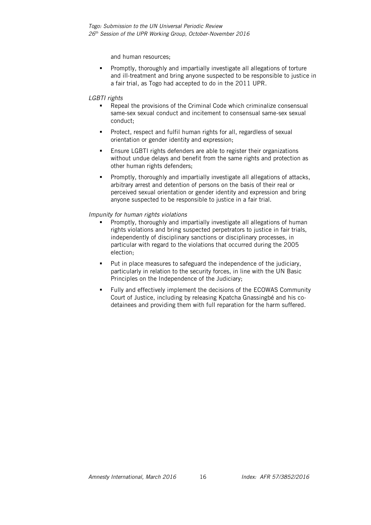and human resources;

 Promptly, thoroughly and impartially investigate all allegations of torture and ill-treatment and bring anyone suspected to be responsible to justice in a fair trial, as Togo had accepted to do in the 2011 UPR.

#### *LGBTI rights*

- Repeal the provisions of the Criminal Code which criminalize consensual same-sex sexual conduct and incitement to consensual same-sex sexual conduct;
- Protect, respect and fulfil human rights for all, regardless of sexual orientation or gender identity and expression;
- Ensure LGBTI rights defenders are able to register their organizations without undue delays and benefit from the same rights and protection as other human rights defenders;
- Promptly, thoroughly and impartially investigate all allegations of attacks, arbitrary arrest and detention of persons on the basis of their real or perceived sexual orientation or gender identity and expression and bring anyone suspected to be responsible to justice in a fair trial.

#### *Impunity for human rights violations*

- Promptly, thoroughly and impartially investigate all allegations of human rights violations and bring suspected perpetrators to justice in fair trials, independently of disciplinary sanctions or disciplinary processes, in particular with regard to the violations that occurred during the 2005 election;
- **Put in place measures to safeguard the independence of the judiciary,** particularly in relation to the security forces, in line with the UN Basic Principles on the Independence of the Judiciary;
- **Fully and effectively implement the decisions of the ECOWAS Community** Court of Justice, including by releasing Kpatcha Gnassingbé and his codetainees and providing them with full reparation for the harm suffered.